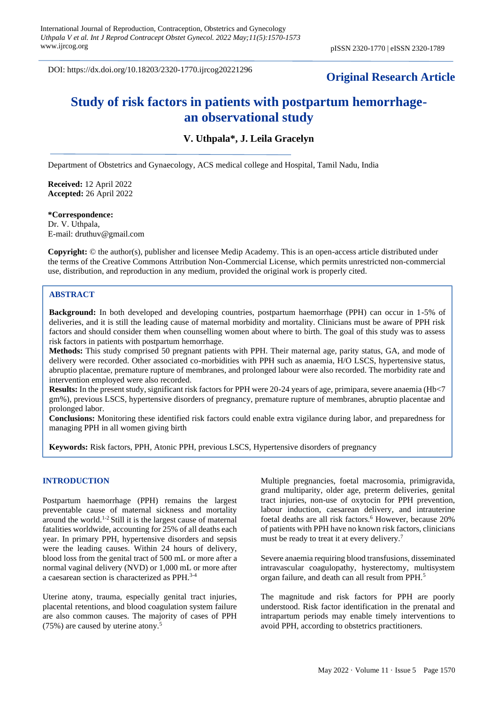DOI: https://dx.doi.org/10.18203/2320-1770.ijrcog20221296

## **Original Research Article**

# **Study of risk factors in patients with postpartum hemorrhagean observational study**

## **V. Uthpala\*, J. Leila Gracelyn**

Department of Obstetrics and Gynaecology, ACS medical college and Hospital, Tamil Nadu, India

**Received:** 12 April 2022 **Accepted:** 26 April 2022

## **\*Correspondence:**

Dr. V. Uthpala, E-mail: druthuv@gmail.com

**Copyright:** © the author(s), publisher and licensee Medip Academy. This is an open-access article distributed under the terms of the Creative Commons Attribution Non-Commercial License, which permits unrestricted non-commercial use, distribution, and reproduction in any medium, provided the original work is properly cited.

## **ABSTRACT**

**Background:** In both developed and developing countries, postpartum haemorrhage (PPH) can occur in 1-5% of deliveries, and it is still the leading cause of maternal morbidity and mortality. Clinicians must be aware of PPH risk factors and should consider them when counselling women about where to birth. The goal of this study was to assess risk factors in patients with postpartum hemorrhage.

**Methods:** This study comprised 50 pregnant patients with PPH. Their maternal age, parity status, GA, and mode of delivery were recorded. Other associated co-morbidities with PPH such as anaemia, H/O LSCS, hypertensive status, abruptio placentae, premature rupture of membranes, and prolonged labour were also recorded. The morbidity rate and intervention employed were also recorded.

**Results:** In the present study, significant risk factors for PPH were 20-24 years of age, primipara, severe anaemia (Hb<7) gm%), previous LSCS, hypertensive disorders of pregnancy, premature rupture of membranes, abruptio placentae and prolonged labor.

**Conclusions:** Monitoring these identified risk factors could enable extra vigilance during labor, and preparedness for managing PPH in all women giving birth

**Keywords:** Risk factors, PPH, Atonic PPH, previous LSCS, Hypertensive disorders of pregnancy

#### **INTRODUCTION**

Postpartum haemorrhage (PPH) remains the largest preventable cause of maternal sickness and mortality around the world.1-2 Still it is the largest cause of maternal fatalities worldwide, accounting for 25% of all deaths each year. In primary PPH, hypertensive disorders and sepsis were the leading causes. Within 24 hours of delivery, blood loss from the genital tract of 500 mL or more after a normal vaginal delivery (NVD) or 1,000 mL or more after a caesarean section is characterized as PPH.3-4

Uterine atony, trauma, especially genital tract injuries, placental retentions, and blood coagulation system failure are also common causes. The majority of cases of PPH (75%) are caused by uterine atony.<sup>5</sup>

Multiple pregnancies, foetal macrosomia, primigravida, grand multiparity, older age, preterm deliveries, genital tract injuries, non-use of oxytocin for PPH prevention, labour induction, caesarean delivery, and intrauterine foetal deaths are all risk factors.<sup>6</sup> However, because 20% of patients with PPH have no known risk factors, clinicians must be ready to treat it at every delivery.<sup>7</sup>

Severe anaemia requiring blood transfusions, disseminated intravascular coagulopathy, hysterectomy, multisystem organ failure, and death can all result from PPH.<sup>5</sup>

The magnitude and risk factors for PPH are poorly understood. Risk factor identification in the prenatal and intrapartum periods may enable timely interventions to avoid PPH, according to obstetrics practitioners.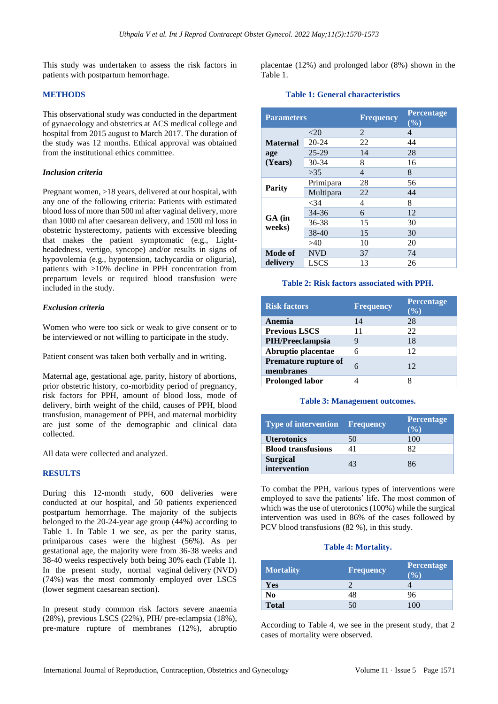This study was undertaken to assess the risk factors in patients with postpartum hemorrhage.

## **METHODS**

This observational study was conducted in the department of gynaecology and obstetrics at ACS medical college and hospital from 2015 august to March 2017. The duration of the study was 12 months. Ethical approval was obtained from the institutional ethics committee.

## *Inclusion criteria*

Pregnant women, >18 years, delivered at our hospital, with any one of the following criteria: Patients with estimated blood loss of more than 500 ml after vaginal delivery, more than 1000 ml after caesarean delivery, and 1500 ml loss in obstetric hysterectomy, patients with excessive bleeding that makes the patient symptomatic (e.g., Lightheadedness, vertigo, syncope) and/or results in signs of hypovolemia (e.g., hypotension, tachycardia or oliguria), patients with >10% decline in PPH concentration from prepartum levels or required blood transfusion were included in the study.

## *Exclusion criteria*

Women who were too sick or weak to give consent or to be interviewed or not willing to participate in the study.

Patient consent was taken both verbally and in writing.

Maternal age, gestational age, parity, history of abortions, prior obstetric history, co-morbidity period of pregnancy, risk factors for PPH, amount of blood loss, mode of delivery, birth weight of the child, causes of PPH, blood transfusion, management of PPH, and maternal morbidity are just some of the demographic and clinical data collected.

All data were collected and analyzed.

## **RESULTS**

During this 12-month study, 600 deliveries were conducted at our hospital, and 50 patients experienced postpartum hemorrhage. The majority of the subjects belonged to the 20-24-year age group (44%) according to Table 1. In Table 1 we see, as per the parity status, primiparous cases were the highest (56%). As per gestational age, the majority were from 36-38 weeks and 38-40 weeks respectively both being 30% each (Table 1). In the present study, normal vaginal delivery (NVD) (74%) was the most commonly employed over LSCS (lower segment caesarean section).

In present study common risk factors severe anaemia (28%), previous LSCS (22%), PIH/ pre-eclampsia (18%), pre-mature rupture of membranes (12%), abruptio placentae (12%) and prolonged labor (8%) shown in the Table 1.

## **Table 1: General characteristics**

| <b>Parameters</b>                 |             | <b>Frequency</b> | Percentage<br>(%) |
|-----------------------------------|-------------|------------------|-------------------|
| <b>Maternal</b><br>age<br>(Years) | $<$ 20      | $\mathcal{L}$    | 4                 |
|                                   | $20 - 24$   | 22               | 44                |
|                                   | $25-29$     | 14               | 28                |
|                                   | $30 - 34$   | 8                | 16                |
|                                   | >35         | $\overline{4}$   | 8                 |
| <b>Parity</b>                     | Primipara   | 28               | 56                |
|                                   | Multipara   | 22               | 44                |
| $GA$ (in<br>weeks)                | $<$ 34      | 4                | 8                 |
|                                   | $34 - 36$   | 6                | 12                |
|                                   | 36-38       | 15               | 30                |
|                                   | 38-40       | 15               | 30                |
|                                   | >40         | 10               | 20                |
| Mode of<br>delivery               | <b>NVD</b>  | 37               | 74                |
|                                   | <b>LSCS</b> | 13               | 26                |

## **Table 2: Risk factors associated with PPH.**

| <b>Risk factors</b>               | <b>Frequency</b> | <b>Percentage</b><br>(0/0) |
|-----------------------------------|------------------|----------------------------|
| Anemia                            | 14               | 28                         |
| <b>Previous LSCS</b>              | 11               | 22                         |
| PIH/Preeclampsia                  |                  | 18                         |
| Abruptio placentae                | 6                | 12                         |
| Premature rupture of<br>membranes | 6                | 12                         |
| <b>Prolonged labor</b>            |                  |                            |

## **Table 3: Management outcomes.**

| <b>Type of intervention Frequency</b> |    | <b>Percentage</b><br>$($ %) |
|---------------------------------------|----|-----------------------------|
| <b>Uterotonics</b>                    | 50 | 100                         |
| <b>Blood transfusions</b>             | 41 | 82                          |
| <b>Surgical</b><br>intervention       | 43 | 86                          |

To combat the PPH, various types of interventions were employed to save the patients' life. The most common of which was the use of uterotonics (100%) while the surgical intervention was used in 86% of the cases followed by PCV blood transfusions (82 %), in this study.

## **Table 4: Mortality.**

| <b>Mortality</b> | <b>Frequency</b> | Percentage<br>$($ %) |
|------------------|------------------|----------------------|
| Yes              |                  |                      |
| No               | 48               | 96                   |
| <b>Total</b>     |                  | 100                  |

According to Table 4, we see in the present study, that 2 cases of mortality were observed.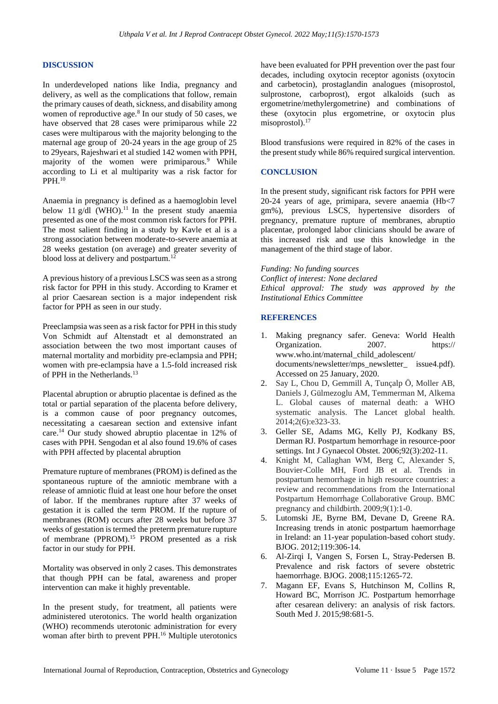## **DISCUSSION**

In underdeveloped nations like India, pregnancy and delivery, as well as the complications that follow, remain the primary causes of death, sickness, and disability among women of reproductive age.<sup>8</sup> In our study of 50 cases, we have observed that 28 cases were primiparous while 22 cases were multiparous with the majority belonging to the maternal age group of 20-24 years in the age group of 25 to 29years, Rajeshwari et al studied 142 women with PPH, majority of the women were primiparous.<sup>9</sup> While according to Li et al multiparity was a risk factor for PPH.<sup>10</sup>

Anaemia in pregnancy is defined as a haemoglobin level below 11 g/dl  $(WHO)$ .<sup>11</sup> In the present study anaemia presented as one of the most common risk factors for PPH. The most salient finding in a study by Kavle et al is a strong association between moderate-to-severe anaemia at 28 weeks gestation (on average) and greater severity of blood loss at delivery and postpartum.<sup>12</sup>

A previous history of a previous LSCS was seen as a strong risk factor for PPH in this study. According to Kramer et al prior Caesarean section is a major independent risk factor for PPH as seen in our study.

Preeclampsia was seen as a risk factor for PPH in this study Von Schmidt auf Altenstadt et al demonstrated an association between the two most important causes of maternal mortality and morbidity pre-eclampsia and PPH; women with pre-eclampsia have a 1.5-fold increased risk of PPH in the Netherlands.<sup>13</sup>

Placental abruption or abruptio placentae is defined as the total or partial separation of the placenta before delivery, is a common cause of poor pregnancy outcomes, necessitating a caesarean section and extensive infant care.<sup>14</sup> Our study showed abruptio placentae in 12% of cases with PPH. Sengodan et al also found 19.6% of cases with PPH affected by placental abruption

Premature rupture of membranes (PROM) is defined as the spontaneous rupture of the amniotic membrane with a release of amniotic fluid at least one hour before the onset of labor. If the membranes rupture after 37 weeks of gestation it is called the term PROM. If the rupture of membranes (ROM) occurs after 28 weeks but before 37 weeks of gestation is termed the preterm premature rupture of membrane (PPROM).<sup>15</sup> PROM presented as a risk factor in our study for PPH.

Mortality was observed in only 2 cases. This demonstrates that though PPH can be fatal, awareness and proper intervention can make it highly preventable.

In the present study, for treatment, all patients were administered uterotonics. The world health organization (WHO) recommends uterotonic administration for every woman after birth to prevent PPH.<sup>16</sup> Multiple uterotonics have been evaluated for PPH prevention over the past four decades, including oxytocin receptor agonists (oxytocin and carbetocin), prostaglandin analogues (misoprostol, sulprostone, carboprost), ergot alkaloids (such as ergometrine/methylergometrine) and combinations of these (oxytocin plus ergometrine, or oxytocin plus misoprostol).<sup>17</sup>

Blood transfusions were required in 82% of the cases in the present study while 86% required surgical intervention.

## **CONCLUSION**

In the present study, significant risk factors for PPH were 20-24 years of age, primipara, severe anaemia (Hb<7 gm%), previous LSCS, hypertensive disorders of pregnancy, premature rupture of membranes, abruptio placentae, prolonged labor clinicians should be aware of this increased risk and use this knowledge in the management of the third stage of labor.

*Funding: No funding sources*

*Conflict of interest: None declared Ethical approval: The study was approved by the Institutional Ethics Committee*

## **REFERENCES**

- 1. Making pregnancy safer. Geneva: World Health Organization. 2007. https:// www.who.int/maternal\_child\_adolescent/ documents/newsletter/mps\_newsletter \_\_\_ issue4.pdf). Accessed on 25 January, 2020.
- 2. Say L, Chou D, Gemmill A, Tunçalp Ö, Moller AB, Daniels J, Gülmezoglu AM, Temmerman M, Alkema L. Global causes of maternal death: a WHO systematic analysis. The Lancet global health. 2014;2(6):e323-33.
- 3. Geller SE, Adams MG, Kelly PJ, Kodkany BS, Derman RJ. Postpartum hemorrhage in resource-poor settings. Int J Gynaecol Obstet. 2006;92(3):202-11.
- 4. Knight M, Callaghan WM, Berg C, Alexander S, Bouvier-Colle MH, Ford JB et al. Trends in postpartum hemorrhage in high resource countries: a review and recommendations from the International Postpartum Hemorrhage Collaborative Group. BMC pregnancy and childbirth. 2009;9(1):1-0.
- 5. Lutomski JE, Byrne BM, Devane D, Greene RA. Increasing trends in atonic postpartum haemorrhage in Ireland: an 11-year population-based cohort study. BJOG. 2012;119:306-14.
- 6. Al-Zirqi I, Vangen S, Forsen L, Stray-Pedersen B. Prevalence and risk factors of severe obstetric haemorrhage. BJOG. 2008;115:1265-72.
- 7. Magann EF, Evans S, Hutchinson M, Collins R, Howard BC, Morrison JC. Postpartum hemorrhage after cesarean delivery: an analysis of risk factors. South Med J. 2015;98:681-5.